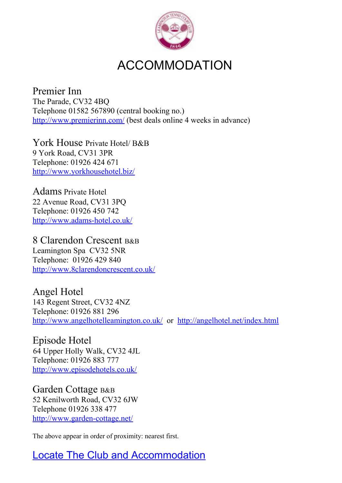

# ACCOMMODATION

Premier Inn The Parade, CV32 4BQ Telephone 01582 567890 (central booking no.) http://www.premierinn.com/ (best deals online 4 weeks in advance)

York House Private Hotel/ B&B 9 York Road, CV31 3PR Telephone: 01926 424 671 http://www.yorkhousehotel.biz/

Adams Private Hotel 22 Avenue Road, CV31 3PQ Telephone: 01926 450 742 http://www.adams-hotel.co.uk/

8 Clarendon Crescent B&B Leamington Spa CV32 5NR Telephone: 01926 429 840 http://www.8clarendoncrescent.co.uk/

Angel Hotel 143 Regent Street, CV32 4NZ Telephone: 01926 881 296 http://www.angelhotelleamington.co.uk/ or http://angelhotel.net/index.html

Episode Hotel 64 Upper Holly Walk, CV32 4JL Telephone: 01926 883 777 http://www.episodehotels.co.uk/

Garden Cottage B&B 52 Kenilworth Road, CV32 6JW Telephone 01926 338 477 http://www.garden-cottage.net/

The above appear in order of proximity: nearest first.

Locate The Club and Accommodation